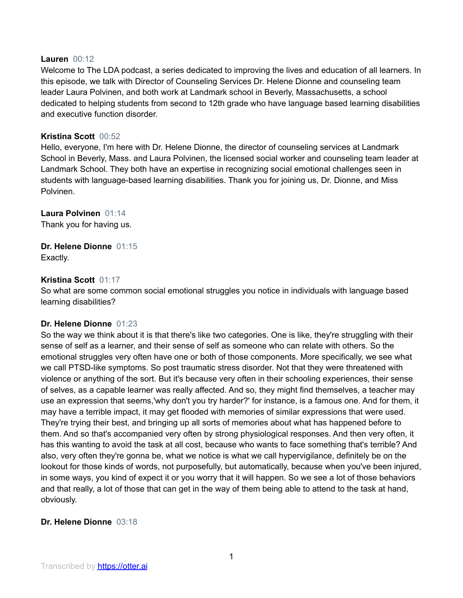#### **Lauren** 00:12

Welcome to The LDA podcast, a series dedicated to improving the lives and education of all learners. In this episode, we talk with Director of Counseling Services Dr. Helene Dionne and counseling team leader Laura Polvinen, and both work at Landmark school in Beverly, Massachusetts, a school dedicated to helping students from second to 12th grade who have language based learning disabilities and executive function disorder.

## **Kristina Scott** 00:52

Hello, everyone, I'm here with Dr. Helene Dionne, the director of counseling services at Landmark School in Beverly, Mass. and Laura Polvinen, the licensed social worker and counseling team leader at Landmark School. They both have an expertise in recognizing social emotional challenges seen in students with language-based learning disabilities. Thank you for joining us, Dr. Dionne, and Miss Polvinen.

## **Laura Polvinen** 01:14

Thank you for having us.

## **Dr. Helene Dionne** 01:15 Exactly.

#### **Kristina Scott** 01:17

So what are some common social emotional struggles you notice in individuals with language based learning disabilities?

## **Dr. Helene Dionne** 01:23

So the way we think about it is that there's like two categories. One is like, they're struggling with their sense of self as a learner, and their sense of self as someone who can relate with others. So the emotional struggles very often have one or both of those components. More specifically, we see what we call PTSD-like symptoms. So post traumatic stress disorder. Not that they were threatened with violence or anything of the sort. But it's because very often in their schooling experiences, their sense of selves, as a capable learner was really affected. And so, they might find themselves, a teacher may use an expression that seems,'why don't you try harder?' for instance, is a famous one. And for them, it may have a terrible impact, it may get flooded with memories of similar expressions that were used. They're trying their best, and bringing up all sorts of memories about what has happened before to them. And so that's accompanied very often by strong physiological responses. And then very often, it has this wanting to avoid the task at all cost, because who wants to face something that's terrible? And also, very often they're gonna be, what we notice is what we call hypervigilance, definitely be on the lookout for those kinds of words, not purposefully, but automatically, because when you've been injured, in some ways, you kind of expect it or you worry that it will happen. So we see a lot of those behaviors and that really, a lot of those that can get in the way of them being able to attend to the task at hand, obviously.

## **Dr. Helene Dionne** 03:18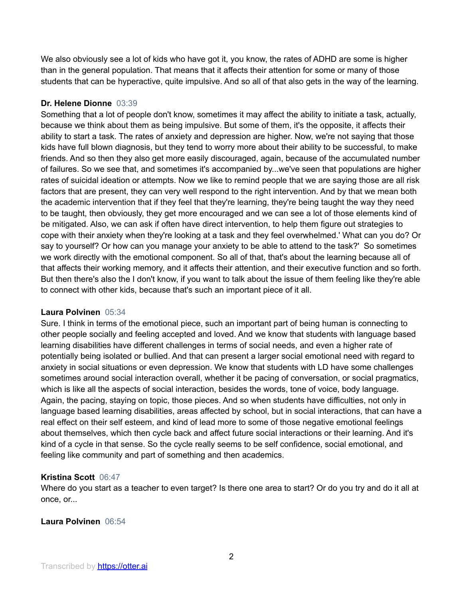We also obviously see a lot of kids who have got it, you know, the rates of ADHD are some is higher than in the general population. That means that it affects their attention for some or many of those students that can be hyperactive, quite impulsive. And so all of that also gets in the way of the learning.

## **Dr. Helene Dionne** 03:39

Something that a lot of people don't know, sometimes it may affect the ability to initiate a task, actually, because we think about them as being impulsive. But some of them, it's the opposite, it affects their ability to start a task. The rates of anxiety and depression are higher. Now, we're not saying that those kids have full blown diagnosis, but they tend to worry more about their ability to be successful, to make friends. And so then they also get more easily discouraged, again, because of the accumulated number of failures. So we see that, and sometimes it's accompanied by...we've seen that populations are higher rates of suicidal ideation or attempts. Now we like to remind people that we are saying those are all risk factors that are present, they can very well respond to the right intervention. And by that we mean both the academic intervention that if they feel that they're learning, they're being taught the way they need to be taught, then obviously, they get more encouraged and we can see a lot of those elements kind of be mitigated. Also, we can ask if often have direct intervention, to help them figure out strategies to cope with their anxiety when they're looking at a task and they feel overwhelmed.' What can you do? Or say to yourself? Or how can you manage your anxiety to be able to attend to the task?' So sometimes we work directly with the emotional component. So all of that, that's about the learning because all of that affects their working memory, and it affects their attention, and their executive function and so forth. But then there's also the I don't know, if you want to talk about the issue of them feeling like they're able to connect with other kids, because that's such an important piece of it all.

## **Laura Polvinen** 05:34

Sure. I think in terms of the emotional piece, such an important part of being human is connecting to other people socially and feeling accepted and loved. And we know that students with language based learning disabilities have different challenges in terms of social needs, and even a higher rate of potentially being isolated or bullied. And that can present a larger social emotional need with regard to anxiety in social situations or even depression. We know that students with LD have some challenges sometimes around social interaction overall, whether it be pacing of conversation, or social pragmatics, which is like all the aspects of social interaction, besides the words, tone of voice, body language. Again, the pacing, staying on topic, those pieces. And so when students have difficulties, not only in language based learning disabilities, areas affected by school, but in social interactions, that can have a real effect on their self esteem, and kind of lead more to some of those negative emotional feelings about themselves, which then cycle back and affect future social interactions or their learning. And it's kind of a cycle in that sense. So the cycle really seems to be self confidence, social emotional, and feeling like community and part of something and then academics.

# **Kristina Scott** 06:47

Where do you start as a teacher to even target? Is there one area to start? Or do you try and do it all at once, or...

# **Laura Polvinen** 06:54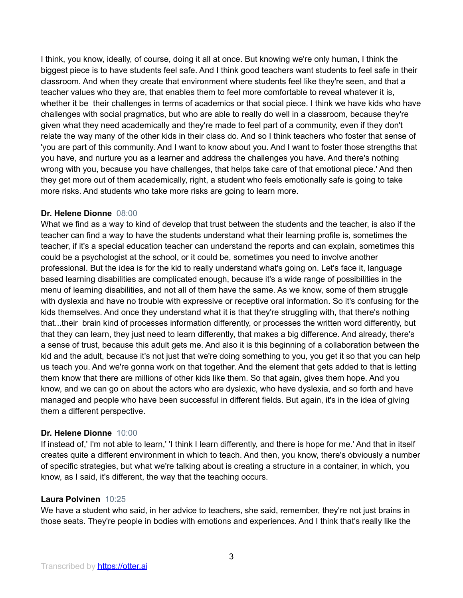I think, you know, ideally, of course, doing it all at once. But knowing we're only human, I think the biggest piece is to have students feel safe. And I think good teachers want students to feel safe in their classroom. And when they create that environment where students feel like they're seen, and that a teacher values who they are, that enables them to feel more comfortable to reveal whatever it is, whether it be their challenges in terms of academics or that social piece. I think we have kids who have challenges with social pragmatics, but who are able to really do well in a classroom, because they're given what they need academically and they're made to feel part of a community, even if they don't relate the way many of the other kids in their class do. And so I think teachers who foster that sense of 'you are part of this community. And I want to know about you. And I want to foster those strengths that you have, and nurture you as a learner and address the challenges you have. And there's nothing wrong with you, because you have challenges, that helps take care of that emotional piece.' And then they get more out of them academically, right, a student who feels emotionally safe is going to take more risks. And students who take more risks are going to learn more.

## **Dr. Helene Dionne** 08:00

What we find as a way to kind of develop that trust between the students and the teacher, is also if the teacher can find a way to have the students understand what their learning profile is, sometimes the teacher, if it's a special education teacher can understand the reports and can explain, sometimes this could be a psychologist at the school, or it could be, sometimes you need to involve another professional. But the idea is for the kid to really understand what's going on. Let's face it, language based learning disabilities are complicated enough, because it's a wide range of possibilities in the menu of learning disabilities, and not all of them have the same. As we know, some of them struggle with dyslexia and have no trouble with expressive or receptive oral information. So it's confusing for the kids themselves. And once they understand what it is that they're struggling with, that there's nothing that...their brain kind of processes information differently, or processes the written word differently, but that they can learn, they just need to learn differently, that makes a big difference. And already, there's a sense of trust, because this adult gets me. And also it is this beginning of a collaboration between the kid and the adult, because it's not just that we're doing something to you, you get it so that you can help us teach you. And we're gonna work on that together. And the element that gets added to that is letting them know that there are millions of other kids like them. So that again, gives them hope. And you know, and we can go on about the actors who are dyslexic, who have dyslexia, and so forth and have managed and people who have been successful in different fields. But again, it's in the idea of giving them a different perspective.

# **Dr. Helene Dionne** 10:00

If instead of,' I'm not able to learn,' 'I think I learn differently, and there is hope for me.' And that in itself creates quite a different environment in which to teach. And then, you know, there's obviously a number of specific strategies, but what we're talking about is creating a structure in a container, in which, you know, as I said, it's different, the way that the teaching occurs.

## **Laura Polvinen** 10:25

We have a student who said, in her advice to teachers, she said, remember, they're not just brains in those seats. They're people in bodies with emotions and experiences. And I think that's really like the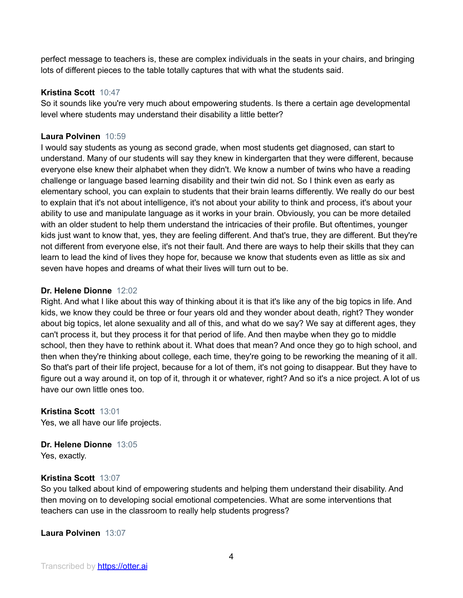perfect message to teachers is, these are complex individuals in the seats in your chairs, and bringing lots of different pieces to the table totally captures that with what the students said.

## **Kristina Scott** 10:47

So it sounds like you're very much about empowering students. Is there a certain age developmental level where students may understand their disability a little better?

## **Laura Polvinen** 10:59

I would say students as young as second grade, when most students get diagnosed, can start to understand. Many of our students will say they knew in kindergarten that they were different, because everyone else knew their alphabet when they didn't. We know a number of twins who have a reading challenge or language based learning disability and their twin did not. So I think even as early as elementary school, you can explain to students that their brain learns differently. We really do our best to explain that it's not about intelligence, it's not about your ability to think and process, it's about your ability to use and manipulate language as it works in your brain. Obviously, you can be more detailed with an older student to help them understand the intricacies of their profile. But oftentimes, younger kids just want to know that, yes, they are feeling different. And that's true, they are different. But they're not different from everyone else, it's not their fault. And there are ways to help their skills that they can learn to lead the kind of lives they hope for, because we know that students even as little as six and seven have hopes and dreams of what their lives will turn out to be.

#### **Dr. Helene Dionne** 12:02

Right. And what I like about this way of thinking about it is that it's like any of the big topics in life. And kids, we know they could be three or four years old and they wonder about death, right? They wonder about big topics, let alone sexuality and all of this, and what do we say? We say at different ages, they can't process it, but they process it for that period of life. And then maybe when they go to middle school, then they have to rethink about it. What does that mean? And once they go to high school, and then when they're thinking about college, each time, they're going to be reworking the meaning of it all. So that's part of their life project, because for a lot of them, it's not going to disappear. But they have to figure out a way around it, on top of it, through it or whatever, right? And so it's a nice project. A lot of us have our own little ones too.

## **Kristina Scott** 13:01

Yes, we all have our life projects.

# **Dr. Helene Dionne** 13:05

Yes, exactly.

## **Kristina Scott** 13:07

So you talked about kind of empowering students and helping them understand their disability. And then moving on to developing social emotional competencies. What are some interventions that teachers can use in the classroom to really help students progress?

**Laura Polvinen** 13:07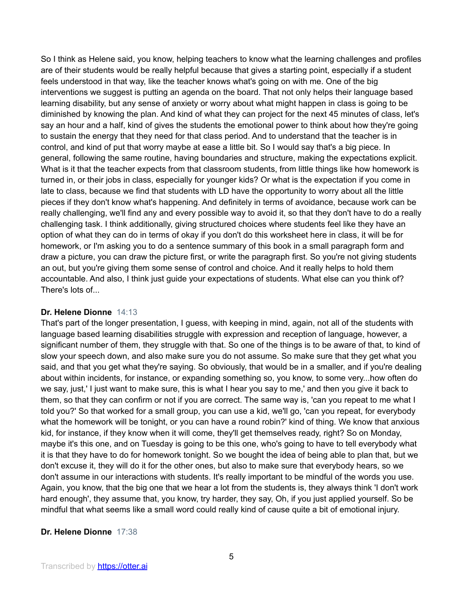So I think as Helene said, you know, helping teachers to know what the learning challenges and profiles are of their students would be really helpful because that gives a starting point, especially if a student feels understood in that way, like the teacher knows what's going on with me. One of the big interventions we suggest is putting an agenda on the board. That not only helps their language based learning disability, but any sense of anxiety or worry about what might happen in class is going to be diminished by knowing the plan. And kind of what they can project for the next 45 minutes of class, let's say an hour and a half, kind of gives the students the emotional power to think about how they're going to sustain the energy that they need for that class period. And to understand that the teacher is in control, and kind of put that worry maybe at ease a little bit. So I would say that's a big piece. In general, following the same routine, having boundaries and structure, making the expectations explicit. What is it that the teacher expects from that classroom students, from little things like how homework is turned in, or their jobs in class, especially for younger kids? Or what is the expectation if you come in late to class, because we find that students with LD have the opportunity to worry about all the little pieces if they don't know what's happening. And definitely in terms of avoidance, because work can be really challenging, we'll find any and every possible way to avoid it, so that they don't have to do a really challenging task. I think additionally, giving structured choices where students feel like they have an option of what they can do in terms of okay if you don't do this worksheet here in class, it will be for homework, or I'm asking you to do a sentence summary of this book in a small paragraph form and draw a picture, you can draw the picture first, or write the paragraph first. So you're not giving students an out, but you're giving them some sense of control and choice. And it really helps to hold them accountable. And also, I think just guide your expectations of students. What else can you think of? There's lots of...

## **Dr. Helene Dionne** 14:13

That's part of the longer presentation, I guess, with keeping in mind, again, not all of the students with language based learning disabilities struggle with expression and reception of language, however, a significant number of them, they struggle with that. So one of the things is to be aware of that, to kind of slow your speech down, and also make sure you do not assume. So make sure that they get what you said, and that you get what they're saying. So obviously, that would be in a smaller, and if you're dealing about within incidents, for instance, or expanding something so, you know, to some very...how often do we say, just,' I just want to make sure, this is what I hear you say to me,' and then you give it back to them, so that they can confirm or not if you are correct. The same way is, 'can you repeat to me what I told you?' So that worked for a small group, you can use a kid, we'll go, 'can you repeat, for everybody what the homework will be tonight, or you can have a round robin?' kind of thing. We know that anxious kid, for instance, if they know when it will come, they'll get themselves ready, right? So on Monday, maybe it's this one, and on Tuesday is going to be this one, who's going to have to tell everybody what it is that they have to do for homework tonight. So we bought the idea of being able to plan that, but we don't excuse it, they will do it for the other ones, but also to make sure that everybody hears, so we don't assume in our interactions with students. It's really important to be mindful of the words you use. Again, you know, that the big one that we hear a lot from the students is, they always think 'I don't work hard enough', they assume that, you know, try harder, they say, Oh, if you just applied yourself. So be mindful that what seems like a small word could really kind of cause quite a bit of emotional injury.

#### **Dr. Helene Dionne** 17:38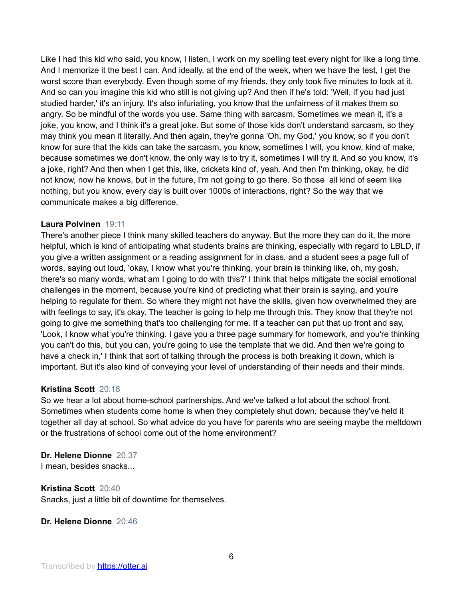Like I had this kid who said, you know, I listen, I work on my spelling test every night for like a long time. And I memorize it the best I can. And ideally, at the end of the week, when we have the test, I get the worst score than everybody. Even though some of my friends, they only took five minutes to look at it. And so can you imagine this kid who still is not giving up? And then if he's told: 'Well, if you had just studied harder,' it's an injury. It's also infuriating, you know that the unfairness of it makes them so angry. So be mindful of the words you use. Same thing with sarcasm. Sometimes we mean it, it's a joke, you know, and I think it's a great joke. But some of those kids don't understand sarcasm, so they may think you mean it literally. And then again, they're gonna 'Oh, my God,' you know, so if you don't know for sure that the kids can take the sarcasm, you know, sometimes I will, you know, kind of make, because sometimes we don't know, the only way is to try it, sometimes I will try it. And so you know, it's a joke, right? And then when I get this, like, crickets kind of, yeah. And then I'm thinking, okay, he did not know, now he knows, but in the future, I'm not going to go there. So those all kind of seem like nothing, but you know, every day is built over 1000s of interactions, right? So the way that we communicate makes a big difference.

## **Laura Polvinen** 19:11

There's another piece I think many skilled teachers do anyway. But the more they can do it, the more helpful, which is kind of anticipating what students brains are thinking, especially with regard to LBLD, if you give a written assignment or a reading assignment for in class, and a student sees a page full of words, saying out loud, 'okay, I know what you're thinking, your brain is thinking like, oh, my gosh, there's so many words, what am I going to do with this?' I think that helps mitigate the social emotional challenges in the moment, because you're kind of predicting what their brain is saying, and you're helping to regulate for them. So where they might not have the skills, given how overwhelmed they are with feelings to say, it's okay. The teacher is going to help me through this. They know that they're not going to give me something that's too challenging for me. If a teacher can put that up front and say, 'Look, I know what you're thinking. I gave you a three page summary for homework, and you're thinking you can't do this, but you can, you're going to use the template that we did. And then we're going to have a check in,' I think that sort of talking through the process is both breaking it down, which is important. But it's also kind of conveying your level of understanding of their needs and their minds.

## **Kristina Scott** 20:18

So we hear a lot about home-school partnerships. And we've talked a lot about the school front. Sometimes when students come home is when they completely shut down, because they've held it together all day at school. So what advice do you have for parents who are seeing maybe the meltdown or the frustrations of school come out of the home environment?

## **Dr. Helene Dionne** 20:37

I mean, besides snacks...

#### **Kristina Scott** 20:40

Snacks, just a little bit of downtime for themselves.

## **Dr. Helene Dionne** 20:46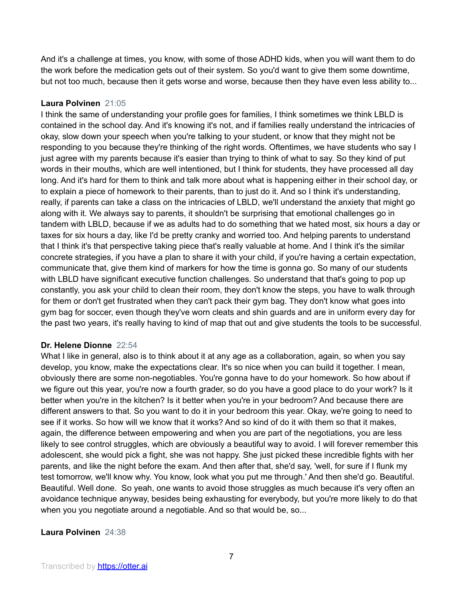And it's a challenge at times, you know, with some of those ADHD kids, when you will want them to do the work before the medication gets out of their system. So you'd want to give them some downtime, but not too much, because then it gets worse and worse, because then they have even less ability to...

## **Laura Polvinen** 21:05

I think the same of understanding your profile goes for families, I think sometimes we think LBLD is contained in the school day. And it's knowing it's not, and if families really understand the intricacies of okay, slow down your speech when you're talking to your student, or know that they might not be responding to you because they're thinking of the right words. Oftentimes, we have students who say I just agree with my parents because it's easier than trying to think of what to say. So they kind of put words in their mouths, which are well intentioned, but I think for students, they have processed all day long. And it's hard for them to think and talk more about what is happening either in their school day, or to explain a piece of homework to their parents, than to just do it. And so I think it's understanding, really, if parents can take a class on the intricacies of LBLD, we'll understand the anxiety that might go along with it. We always say to parents, it shouldn't be surprising that emotional challenges go in tandem with LBLD, because if we as adults had to do something that we hated most, six hours a day or taxes for six hours a day, like I'd be pretty cranky and worried too. And helping parents to understand that I think it's that perspective taking piece that's really valuable at home. And I think it's the similar concrete strategies, if you have a plan to share it with your child, if you're having a certain expectation, communicate that, give them kind of markers for how the time is gonna go. So many of our students with LBLD have significant executive function challenges. So understand that that's going to pop up constantly, you ask your child to clean their room, they don't know the steps, you have to walk through for them or don't get frustrated when they can't pack their gym bag. They don't know what goes into gym bag for soccer, even though they've worn cleats and shin guards and are in uniform every day for the past two years, it's really having to kind of map that out and give students the tools to be successful.

## **Dr. Helene Dionne** 22:54

What I like in general, also is to think about it at any age as a collaboration, again, so when you say develop, you know, make the expectations clear. It's so nice when you can build it together. I mean, obviously there are some non-negotiables. You're gonna have to do your homework. So how about if we figure out this year, you're now a fourth grader, so do you have a good place to do your work? Is it better when you're in the kitchen? Is it better when you're in your bedroom? And because there are different answers to that. So you want to do it in your bedroom this year. Okay, we're going to need to see if it works. So how will we know that it works? And so kind of do it with them so that it makes, again, the difference between empowering and when you are part of the negotiations, you are less likely to see control struggles, which are obviously a beautiful way to avoid. I will forever remember this adolescent, she would pick a fight, she was not happy. She just picked these incredible fights with her parents, and like the night before the exam. And then after that, she'd say, 'well, for sure if I flunk my test tomorrow, we'll know why. You know, look what you put me through.' And then she'd go. Beautiful. Beautiful. Well done. So yeah, one wants to avoid those struggles as much because it's very often an avoidance technique anyway, besides being exhausting for everybody, but you're more likely to do that when you you negotiate around a negotiable. And so that would be, so...

# **Laura Polvinen** 24:38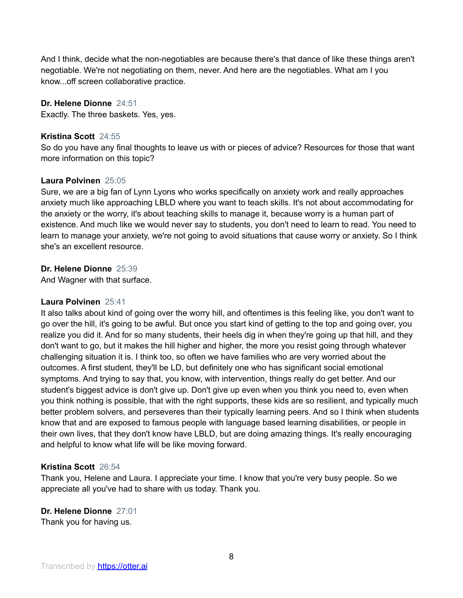And I think, decide what the non-negotiables are because there's that dance of like these things aren't negotiable. We're not negotiating on them, never. And here are the negotiables. What am I you know...off screen collaborative practice.

**Dr. Helene Dionne** 24:51

Exactly. The three baskets. Yes, yes.

## **Kristina Scott** 24:55

So do you have any final thoughts to leave us with or pieces of advice? Resources for those that want more information on this topic?

## **Laura Polvinen** 25:05

Sure, we are a big fan of Lynn Lyons who works specifically on anxiety work and really approaches anxiety much like approaching LBLD where you want to teach skills. It's not about accommodating for the anxiety or the worry, it's about teaching skills to manage it, because worry is a human part of existence. And much like we would never say to students, you don't need to learn to read. You need to learn to manage your anxiety, we're not going to avoid situations that cause worry or anxiety. So I think she's an excellent resource.

#### **Dr. Helene Dionne** 25:39

And Wagner with that surface.

#### **Laura Polvinen** 25:41

It also talks about kind of going over the worry hill, and oftentimes is this feeling like, you don't want to go over the hill, it's going to be awful. But once you start kind of getting to the top and going over, you realize you did it. And for so many students, their heels dig in when they're going up that hill, and they don't want to go, but it makes the hill higher and higher, the more you resist going through whatever challenging situation it is. I think too, so often we have families who are very worried about the outcomes. A first student, they'll be LD, but definitely one who has significant social emotional symptoms. And trying to say that, you know, with intervention, things really do get better. And our student's biggest advice is don't give up. Don't give up even when you think you need to, even when you think nothing is possible, that with the right supports, these kids are so resilient, and typically much better problem solvers, and perseveres than their typically learning peers. And so I think when students know that and are exposed to famous people with language based learning disabilities, or people in their own lives, that they don't know have LBLD, but are doing amazing things. It's really encouraging and helpful to know what life will be like moving forward.

#### **Kristina Scott** 26:54

Thank you, Helene and Laura. I appreciate your time. I know that you're very busy people. So we appreciate all you've had to share with us today. Thank you.

**Dr. Helene Dionne** 27:01 Thank you for having us.